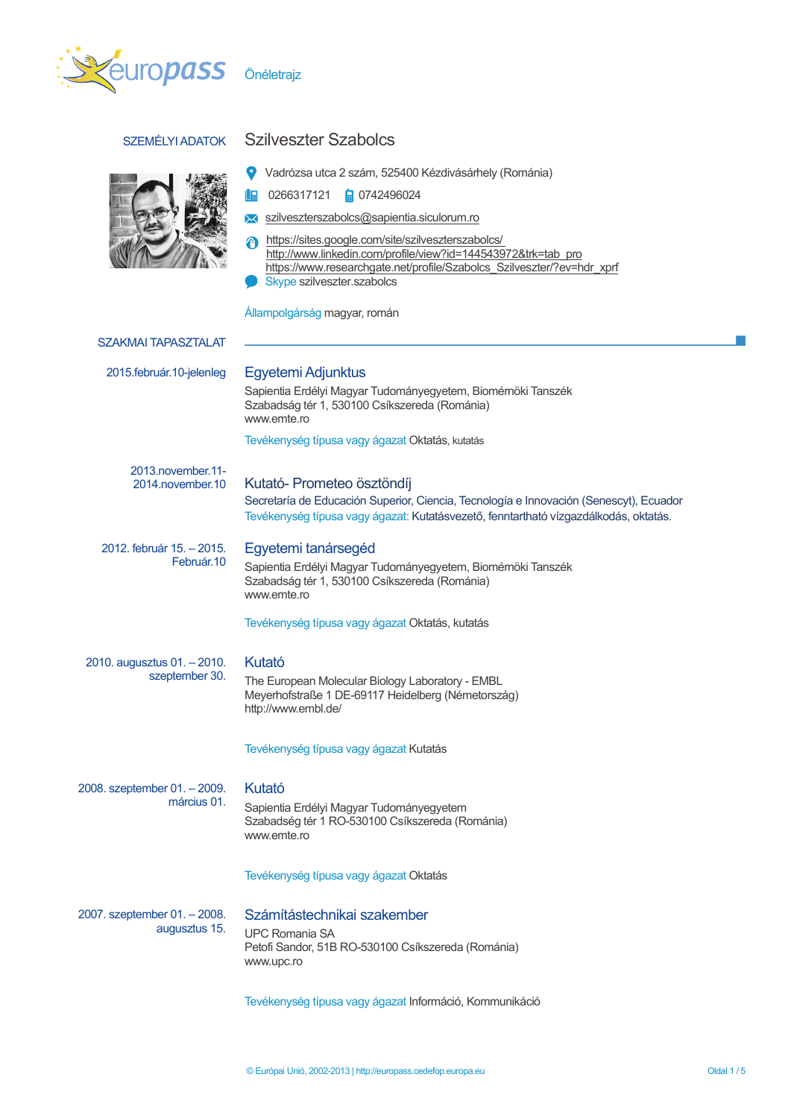



# SZEMÉLYI ADATOK Szilveszter Szabolcs

 $\frac{1}{2}$  0266317121  $\frac{1}{2}$  0742496024

- **X** szilveszterszabolcs@sapientia.siculorum.ro
- https://sites.google.com/site/szilveszterszabolcs/ http://www.linkedin.com/profile/view?id=144543972&trk=tab\_pro https://www.researchgate.net/profile/Szabolcs\_Szilveszter/?ev=hdr\_xprf
- Skype szilveszter.szabolcs

Állampolgárság magyar, román

| <b>SZAKMAI TAPASZTALAT</b>                    |                                                                                                                                                                                                              |
|-----------------------------------------------|--------------------------------------------------------------------------------------------------------------------------------------------------------------------------------------------------------------|
| 2015.február.10-jelenleg                      | Egyetemi Adjunktus<br>Sapientia Erdélyi Magyar Tudományegyetem, Biomérnöki Tanszék<br>Szabadság tér 1, 530100 Csíkszereda (Románia)<br>www.emte.ro                                                           |
|                                               | Tevékenység típusa vagy ágazat Oktatás, kutatás                                                                                                                                                              |
| 2013.november.11-<br>2014.november.10         | Kutató- Prometeo ösztöndíj<br>Secretaría de Educación Superior, Ciencia, Tecnología e Innovación (Senescyt), Ecuador<br>Tevékenység típusa vagy ágazat: Kutatásvezető, fenntartható vízgazdálkodás, oktatás. |
| 2012. február 15. – 2015.<br>Február.10       | Egyetemi tanársegéd<br>Sapientia Erdélyi Magyar Tudományegyetem, Biomérnöki Tanszék<br>Szabadság tér 1, 530100 Csíkszereda (Románia)<br>www.emte.ro                                                          |
|                                               | Tevékenység típusa vagy ágazat Oktatás, kutatás                                                                                                                                                              |
| 2010. augusztus 01. - 2010.<br>szeptember 30. | Kutató<br>The European Molecular Biology Laboratory - EMBL<br>Meyerhofstraße 1 DE-69117 Heidelberg (Németország)<br>http://www.embl.de/                                                                      |
|                                               | Tevékenység típusa vagy ágazat Kutatás                                                                                                                                                                       |
| 2008. szeptember 01. – 2009.<br>március 01.   | Kutató<br>Sapientia Erdélyi Magyar Tudományegyetem<br>Szabadség tér 1 RO-530100 Csíkszereda (Románia)<br>www.emte.ro                                                                                         |
|                                               | Tevékenység típusa vagy ágazat Oktatás                                                                                                                                                                       |
| 2007. szeptember 01. – 2008.<br>augusztus 15. | Számítástechnikai szakember<br><b>UPC Romania SA</b><br>Petofi Sandor, 51B RO-530100 Csíkszereda (Románia)<br>www.upc.ro                                                                                     |
|                                               | Tevékenység típusa vagy ágazat Információ, Kommunikáció                                                                                                                                                      |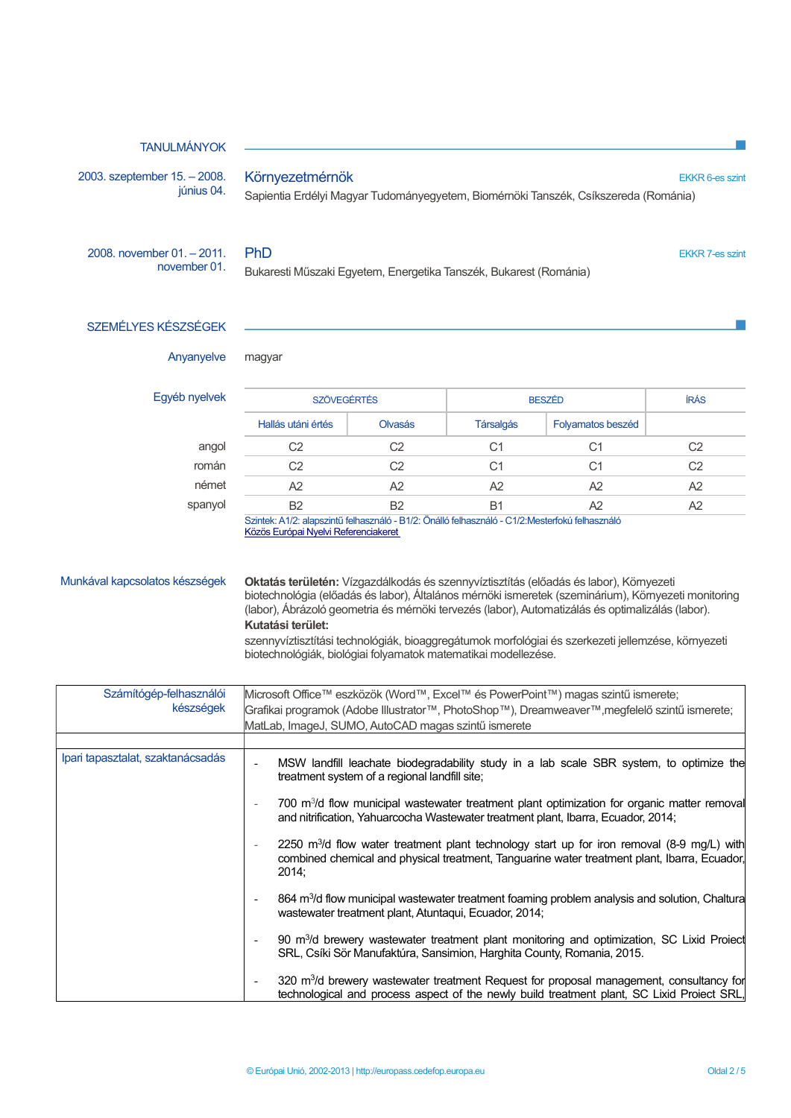## TANULMÁNYOK

2003. szeptember 15. – 2008. június 04.

### Környezetmérnök EKKR 6-es szint

Sapientia Erdélyi Magyar Tudományegyetem, Biomérnöki Tanszék, Csíkszereda (Románia)

2008. november 01. – 2011. november 01.

Bukaresti Műszaki Egyetem, Energetika Tanszék, Bukarest (Románia)

PhD EKKR 7-es szint

# SZEMÉLYES KÉSZSÉGEK

Anyanyelve magyar

| <b>SZÖVEGÉRTÉS</b> |                   | <b>BESZÉD</b>    |                   | ÍRÁS                                                   |
|--------------------|-------------------|------------------|-------------------|--------------------------------------------------------|
| Hallás utáni értés | <b>Olvasás</b>    | <b>Társalgás</b> | Folyamatos beszéd |                                                        |
| C2                 | C2                | С1               | С1                | C2                                                     |
| C2                 | C2                | С1               | С1                | C <sub>2</sub>                                         |
| Α2                 | A2                | A2               | A2                | A2                                                     |
| B <sub>2</sub>     | B <sub>2</sub>    | B1               | A2                | A2                                                     |
|                    | _________________ | .                |                   | the common contract of the common common common common |

Szintek: A1/2: alapszintű felhasználó - B1/2: Önálló felhasználó - C1/2:Mesterfokú felhasználó Közös Európai Nyelvi Referenciakeret

Munkával kapcsolatos készségek **Oktatás területén:** Vízgazdálkodás és szennyvíztisztítás (előadás és labor), Környezeti biotechnológia (előadás és labor), Általános mérnöki ismeretek (szeminárium), Környezeti monitoring (labor), Ábrázoló geometria és mérnöki tervezés (labor), Automatizálás és optimalizálás (labor). Kutatási terület:

> szennyvíztisztítási technológiák, bioaggregátumok morfológiai és szerkezeti jellemzése, környezeti biotechnológiák, biológiai folyamatok matematikai modellezése.

| Számítógép-felhasználói           | Microsoft Office™ eszközök (Word™, Excel™ és PowerPoint™) magas szintű ismerete;                                                                                                                                                            |
|-----------------------------------|---------------------------------------------------------------------------------------------------------------------------------------------------------------------------------------------------------------------------------------------|
| készségek                         | Grafikai programok (Adobe Illustrator™, PhotoShop™), Dreamweaver™,megfelelő szintű ismerete;                                                                                                                                                |
|                                   | MatLab, ImageJ, SUMO, AutoCAD magas szintű ismerete                                                                                                                                                                                         |
|                                   |                                                                                                                                                                                                                                             |
| Ipari tapasztalat, szaktanácsadás | MSW landfill leachate biodegradability study in a lab scale SBR system, to optimize the<br>treatment system of a regional landfill site;                                                                                                    |
|                                   | 700 m <sup>3</sup> /d flow municipal wastewater treatment plant optimization for organic matter removal<br>$\overline{\phantom{a}}$<br>and nitrification, Yahuarcocha Wastewater treatment plant, Ibarra, Ecuador, 2014;                    |
|                                   | 2250 m <sup>3</sup> /d flow water treatment plant technology start up for iron removal (8-9 mg/L) with<br>$\overline{\phantom{a}}$<br>combined chemical and physical treatment, Tanguarine water treatment plant, Ibarra, Ecuador,<br>2014: |
|                                   | 864 m <sup>3</sup> /d flow municipal wastewater treatment foaming problem analysis and solution, Chaltura<br>wastewater treatment plant, Atuntaqui, Ecuador, 2014;                                                                          |
|                                   | 90 m <sup>3</sup> /d brewery wastewater treatment plant monitoring and optimization, SC Lixid Project<br>SRL, Csíki Sör Manufaktúra, Sansimion, Harghita County, Romania, 2015.                                                             |
|                                   | 320 m <sup>3</sup> /d brewery wastewater treatment Request for proposal management, consultancy for<br>$\overline{\phantom{a}}$<br>technological and process aspect of the newly build treatment plant, SC Lixid Proiect SRL,               |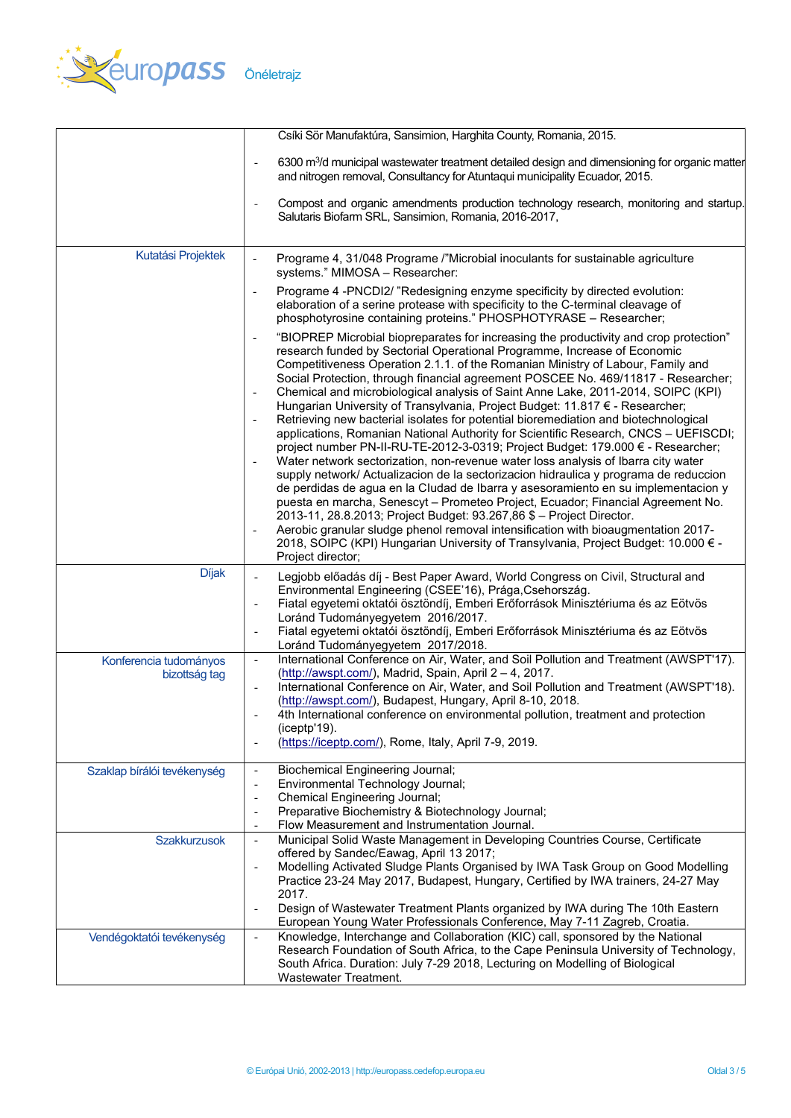

|                                         | Csíki Sör Manufaktúra, Sansimion, Harghita County, Romania, 2015.                                                                                                                                                                                                                                                                                                                                                                                                                                                                                                                                                                                                                                                                                                                                                                                                                                                                                                                                                                                                                                                                                                                                                                                                                                                                                                                                                                                                                               |
|-----------------------------------------|-------------------------------------------------------------------------------------------------------------------------------------------------------------------------------------------------------------------------------------------------------------------------------------------------------------------------------------------------------------------------------------------------------------------------------------------------------------------------------------------------------------------------------------------------------------------------------------------------------------------------------------------------------------------------------------------------------------------------------------------------------------------------------------------------------------------------------------------------------------------------------------------------------------------------------------------------------------------------------------------------------------------------------------------------------------------------------------------------------------------------------------------------------------------------------------------------------------------------------------------------------------------------------------------------------------------------------------------------------------------------------------------------------------------------------------------------------------------------------------------------|
|                                         | 6300 m <sup>3</sup> /d municipal wastewater treatment detailed design and dimensioning for organic matter<br>$\overline{\phantom{a}}$<br>and nitrogen removal, Consultancy for Atuntaqui municipality Ecuador, 2015.                                                                                                                                                                                                                                                                                                                                                                                                                                                                                                                                                                                                                                                                                                                                                                                                                                                                                                                                                                                                                                                                                                                                                                                                                                                                            |
|                                         | Compost and organic amendments production technology research, monitoring and startup.<br>Salutaris Biofarm SRL, Sansimion, Romania, 2016-2017,                                                                                                                                                                                                                                                                                                                                                                                                                                                                                                                                                                                                                                                                                                                                                                                                                                                                                                                                                                                                                                                                                                                                                                                                                                                                                                                                                 |
| Kutatási Projektek                      | Programe 4, 31/048 Programe /"Microbial inoculants for sustainable agriculture<br>$\blacksquare$<br>systems." MIMOSA - Researcher:                                                                                                                                                                                                                                                                                                                                                                                                                                                                                                                                                                                                                                                                                                                                                                                                                                                                                                                                                                                                                                                                                                                                                                                                                                                                                                                                                              |
|                                         | Programe 4 -PNCDI2/ "Redesigning enzyme specificity by directed evolution:<br>$\overline{\phantom{a}}$<br>elaboration of a serine protease with specificity to the C-terminal cleavage of<br>phosphotyrosine containing proteins." PHOSPHOTYRASE - Researcher;                                                                                                                                                                                                                                                                                                                                                                                                                                                                                                                                                                                                                                                                                                                                                                                                                                                                                                                                                                                                                                                                                                                                                                                                                                  |
|                                         | "BIOPREP Microbial biopreparates for increasing the productivity and crop protection"<br>$\overline{\phantom{a}}$<br>research funded by Sectorial Operational Programme, Increase of Economic<br>Competitiveness Operation 2.1.1. of the Romanian Ministry of Labour, Family and<br>Social Protection, through financial agreement POSCEE No. 469/11817 - Researcher;<br>Chemical and microbiological analysis of Saint Anne Lake, 2011-2014, SOIPC (KPI)<br>$\overline{\phantom{a}}$<br>Hungarian University of Transylvania, Project Budget: 11.817 € - Researcher;<br>Retrieving new bacterial isolates for potential bioremediation and biotechnological<br>applications, Romanian National Authority for Scientific Research, CNCS - UEFISCDI;<br>project number PN-II-RU-TE-2012-3-0319; Project Budget: 179.000 € - Researcher;<br>Water network sectorization, non-revenue water loss analysis of Ibarra city water<br>supply network/ Actualizacion de la sectorizacion hidraulica y programa de reduccion<br>de perdidas de agua en la Cludad de Ibarra y asesoramiento en su implementacion y<br>puesta en marcha, Senescyt - Prometeo Project, Ecuador; Financial Agreement No.<br>2013-11, 28.8.2013; Project Budget: 93.267,86 \$ - Project Director.<br>Aerobic granular sludge phenol removal intensification with bioaugmentation 2017-<br>$\overline{\phantom{a}}$<br>2018, SOIPC (KPI) Hungarian University of Transylvania, Project Budget: 10.000 € -<br>Project director; |
| <b>Díjak</b>                            | Legjobb előadás díj - Best Paper Award, World Congress on Civil, Structural and                                                                                                                                                                                                                                                                                                                                                                                                                                                                                                                                                                                                                                                                                                                                                                                                                                                                                                                                                                                                                                                                                                                                                                                                                                                                                                                                                                                                                 |
|                                         | Environmental Engineering (CSEE'16), Prága, Csehország.<br>Fiatal egyetemi oktatói ösztöndíj, Emberi Erőforrások Minisztériuma és az Eötvös<br>Loránd Tudományegyetem 2016/2017.<br>Fiatal egyetemi oktatói ösztöndíj, Emberi Erőforrások Minisztériuma és az Eötvös<br>$\overline{\phantom{a}}$<br>Loránd Tudományegyetem 2017/2018.                                                                                                                                                                                                                                                                                                                                                                                                                                                                                                                                                                                                                                                                                                                                                                                                                                                                                                                                                                                                                                                                                                                                                           |
| Konferencia tudományos<br>bizottság tag | International Conference on Air, Water, and Soil Pollution and Treatment (AWSPT'17).<br>$\overline{\phantom{a}}$<br>(http://awspt.com/), Madrid, Spain, April 2 - 4, 2017.<br>International Conference on Air, Water, and Soil Pollution and Treatment (AWSPT'18).<br>(http://awspt.com/), Budapest, Hungary, April 8-10, 2018.<br>4th International conference on environmental pollution, treatment and protection<br>(iceptp'19).<br>(https://iceptp.com/), Rome, Italy, April 7-9, 2019.                                                                                                                                                                                                                                                                                                                                                                                                                                                                                                                                                                                                                                                                                                                                                                                                                                                                                                                                                                                                    |
| Szaklap bírálói tevékenység             | <b>Biochemical Engineering Journal;</b><br>$\blacksquare$<br>Environmental Technology Journal;<br>$\overline{\phantom{a}}$<br><b>Chemical Engineering Journal;</b><br>$\overline{\phantom{a}}$<br>Preparative Biochemistry & Biotechnology Journal;<br>Flow Measurement and Instrumentation Journal.<br>$\overline{\phantom{a}}$                                                                                                                                                                                                                                                                                                                                                                                                                                                                                                                                                                                                                                                                                                                                                                                                                                                                                                                                                                                                                                                                                                                                                                |
| <b>Szakkurzusok</b>                     | Municipal Solid Waste Management in Developing Countries Course, Certificate<br>$\overline{\phantom{a}}$<br>offered by Sandec/Eawag, April 13 2017;<br>Modelling Activated Sludge Plants Organised by IWA Task Group on Good Modelling<br>Practice 23-24 May 2017, Budapest, Hungary, Certified by IWA trainers, 24-27 May<br>2017.<br>Design of Wastewater Treatment Plants organized by IWA during The 10th Eastern                                                                                                                                                                                                                                                                                                                                                                                                                                                                                                                                                                                                                                                                                                                                                                                                                                                                                                                                                                                                                                                                           |
|                                         | European Young Water Professionals Conference, May 7-11 Zagreb, Croatia.                                                                                                                                                                                                                                                                                                                                                                                                                                                                                                                                                                                                                                                                                                                                                                                                                                                                                                                                                                                                                                                                                                                                                                                                                                                                                                                                                                                                                        |
| Vendégoktatói tevékenység               | Knowledge, Interchange and Collaboration (KIC) call, sponsored by the National<br>$\overline{a}$<br>Research Foundation of South Africa, to the Cape Peninsula University of Technology,<br>South Africa. Duration: July 7-29 2018, Lecturing on Modelling of Biological<br>Wastewater Treatment.                                                                                                                                                                                                                                                                                                                                                                                                                                                                                                                                                                                                                                                                                                                                                                                                                                                                                                                                                                                                                                                                                                                                                                                               |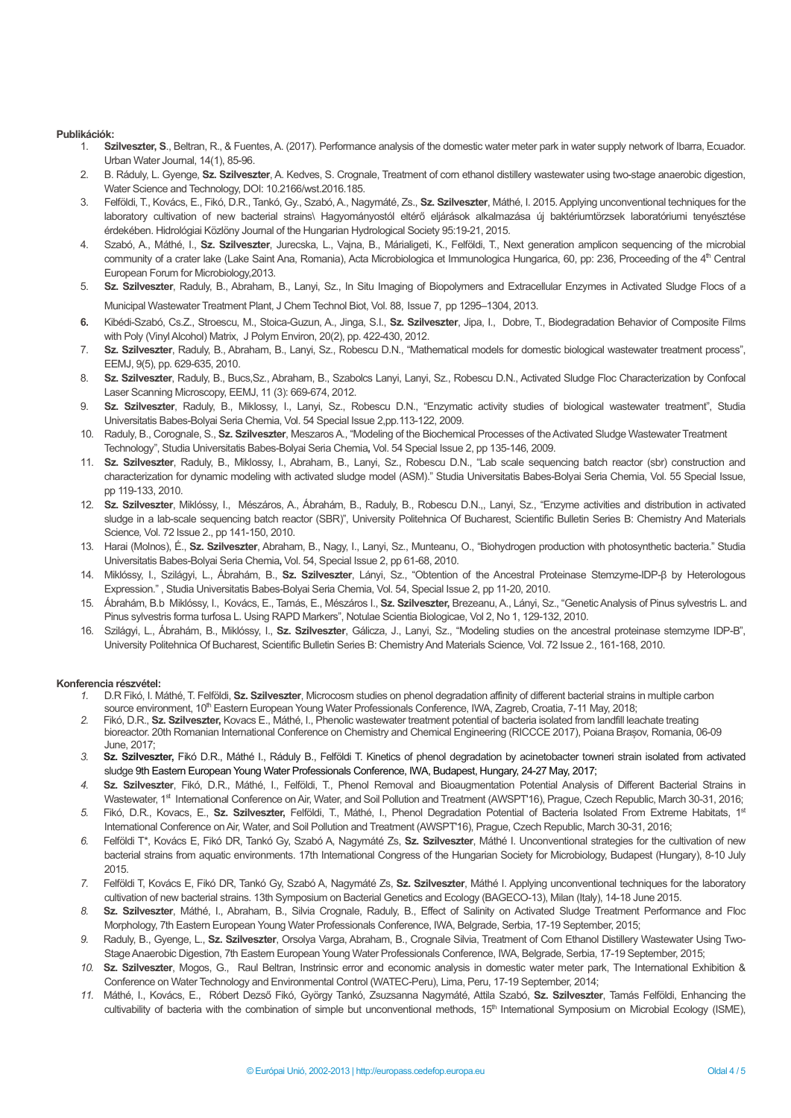#### Publikációk:

- 1. Szilveszter, S., Beltran, R., & Fuentes, A. (2017). Performance analysis of the domestic water meter park in water supply network of Ibarra, Ecuador. Urban Water Journal, 14(1), 85-96.
- 2. B. Ráduly, L. Gyenge, Sz. Szilveszter, A. Kedves, S. Crognale, Treatment of corn ethanol distillery wastewater using two-stage anaerobic digestion, Water Science and Technology, DOI: 10.2166/wst.2016.185.
- 3. Felföldi, T., Kovács, E., Fikó, D.R., Tankó, Gy., Szabó, A., Nagymáté, Zs., Sz. Szilveszter, Máthé, I. 2015. Applying unconventional techniques for the laboratory cultivation of new bacterial strains\ Hagyományostól eltérő eljárások alkalmazása új baktériumtörzsek laboratóriumi tenyésztése érdekében. Hidrológiai Közlöny Journal of the Hungarian Hydrological Society 95:19-21, 2015.
- 4. Szabó, A., Máthé, I., Sz. Szilveszter, Jurecska, L., Vajna, B., Márialigeti, K., Felföldi, T., Next generation amplicon sequencing of the microbial community of a crater lake (Lake Saint Ana, Romania), Acta Microbiologica et Immunologica Hungarica, 60, pp: 236, Proceeding of the 4<sup>th</sup> Central European Forum for Microbiology,2013.
- 5. Sz. Szilveszter, Raduly, B., Abraham, B., Lanyi, Sz., In Situ Imaging of Biopolymers and Extracellular Enzymes in Activated Sludge Flocs of a Municipal Wastewater Treatment Plant, J Chem Technol Biot, Vol. 88, Issue 7, pp 1295–1304, 2013.
- 6. Kibédi-Szabó. Cs.Z., Stroescu, M., Stoica-Guzun, A., Jinga, S.I., Sz. Szilveszter, Jipa, I., Dobre, T., Biodegradation Behavior of Composite Films with Poly (Vinyl Alcohol) Matrix, J Polym Environ, 20(2), pp. 422-430, 2012.
- 7. Sz. Szilveszter, Raduly, B., Abraham, B., Lanyi, Sz., Robescu D.N., "Mathematical models for domestic biological wastewater treatment process", EEMJ, 9(5), pp. 629-635, 2010.
- 8. Sz. Szilveszter, Raduly, B., Bucs, Sz., Abraham, B., Szabolcs Lanyi, Lanyi, Sz., Robescu D.N., Activated Sludge Floc Characterization by Confocal Laser Scanning Microscopy, EEMJ, 11 (3): 669-674, 2012.
- 9. Sz. Szilveszter, Raduly, B., Miklossy, I., Lanyi, Sz., Robescu D.N., "Enzymatic activity studies of biological wastewater treatment", Studia Universitatis Babes-Bolyai Seria Chemia, Vol. 54 Special Issue 2,pp.113-122, 2009.
- 10. Raduly, B., Corognale, S., Sz. Szilveszter, Meszaros A., "Modeling of the Biochemical Processes of the Activated Sludge Wastewater Treatment Technology", Studia Universitatis Babes-Bolyai Seria Chemia, Vol. 54 Special Issue 2, pp 135-146, 2009.
- 11. Sz. Szilveszter, Raduly, B., Miklossy, I., Abraham, B., Lanyi, Sz., Robescu D.N., "Lab scale sequencing batch reactor (sbr) construction and characterization for dynamic modeling with activated sludge model (ASM)." Studia Universitatis Babes-Bolyai Seria Chemia, Vol. 55 Special Issue, pp 119-133, 2010.
- 12. Sz. Szilveszter, Miklóssy, I., Mészáros, A., Ábrahám, B., Raduly, B., Robescu D.N.,, Lanyi, Sz., "Enzyme activities and distribution in activated sludge in a lab-scale sequencing batch reactor (SBR)", University Politehnica Of Bucharest, Scientific Bulletin Series B: Chemistry And Materials Science, Vol. 72 Issue 2., pp 141-150, 2010.
- 13. Harai (Molnos), É., Sz. Szilveszter, Abraham, B., Nagy, I., Lanyi, Sz., Munteanu, O., "Biohydrogen production with photosynthetic bacteria." Studia Universitatis Babes-Bolyai Seria Chemia, Vol. 54, Special Issue 2, pp 61-68, 2010.
- 14. Miklóssy, I., Szilágyi, L., Ábrahám, B., Sz. Szilveszter, Lányi, Sz., "Obtention of the Ancestral Proteinase Stemzyme-IDP-β by Heterologous Expression." , Studia Universitatis Babes-Bolyai Seria Chemia, Vol. 54, Special Issue 2, pp 11-20, 2010.
- 15. Ábrahám, B.b Miklóssy, I., Kovács, E., Tamás, E., Mészáros I., Sz. Szilveszter, Brezeanu, A., Lányi, Sz., "Genetic Analysis of Pinus sylvestris L. and Pinus sylvestris forma turfosa L. Using RAPD Markers", Notulae Scientia Biologicae, Vol 2, No 1, 129-132, 2010.
- 16. Szilágyi, L., Ábrahám, B., Miklóssy, I., Sz. Szilveszter, Gálicza, J., Lanyi, Sz., "Modeling studies on the ancestral proteinase stemzyme IDP-Β", University Politehnica Of Bucharest, Scientific Bulletin Series B: Chemistry And Materials Science, Vol. 72 Issue 2., 161-168, 2010.

#### Konferencia részvétel:

- 1. D.R Fikó, I. Máthé, T. Felföldi, Sz. Szilveszter, Microcosm studies on phenol degradation affinity of different bacterial strains in multiple carbon source environment, 10<sup>th</sup> Eastern European Young Water Professionals Conference, IWA, Zagreb, Croatia, 7-11 May, 2018;
- 2. Fikó, D.R., Sz. Szilveszter, Kovacs E., Máthé, I., Phenolic wastewater treatment potential of bacteria isolated from landfill leachate treating bioreactor. 20th Romanian International Conference on Chemistry and Chemical Engineering (RICCCE 2017), Poiana Brașov, Romania, 06-09 June, 2017;
- 3. Sz. Szilveszter, Fikó D.R., Máthé I., Ráduly B., Felföldi T. Kinetics of phenol degradation by acinetobacter towneri strain isolated from activated sludge 9th Eastern European Young Water Professionals Conference, IWA, Budapest, Hungary, 24-27 May, 2017;
- 4. Sz. Szilveszter, Fikó, D.R., Máthé, I., Felföldi, T., Phenol Removal and Bioaugmentation Potential Analysis of Different Bacterial Strains in Wastewater, 1<sup>st</sup> International Conference on Air, Water, and Soil Pollution and Treatment (AWSPT'16), Prague, Czech Republic, March 30-31, 2016;
- 5. Fikó, D.R., Kovacs, E., Sz. Szilveszter, Felföldi, T., Máthé, I., Phenol Degradation Potential of Bacteria Isolated From Extreme Habitats, 1<sup>st</sup> International Conference on Air, Water, and Soil Pollution and Treatment (AWSPT'16), Prague, Czech Republic, March 30-31, 2016;
- 6. Felföldi T\*, Kovács E, Fikó DR, Tankó Gy, Szabó A, Nagymáté Zs, Sz. Szilveszter, Máthé I. Unconventional strategies for the cultivation of new bacterial strains from aquatic environments. 17th International Congress of the Hungarian Society for Microbiology, Budapest (Hungary), 8-10 July 2015.
- 7. Felföldi T, Kovács E, Fikó DR, Tankó Gy, Szabó A, Nagymáté Zs, Sz. Szilveszter, Máthé I. Applying unconventional techniques for the laboratory cultivation of new bacterial strains. 13th Symposium on Bacterial Genetics and Ecology (BAGECO-13), Milan (Italy), 14-18 June 2015.
- 8. Sz. Szilveszter, Máthé, I., Abraham, B., Silvia Crognale, Raduly, B., Effect of Salinity on Activated Sludge Treatment Performance and Floc Morphology, 7th Eastern European Young Water Professionals Conference, IWA, Belgrade, Serbia, 17-19 September, 2015;
- 9. Raduly, B., Gyenge, L., Sz. Szilveszter, Orsolya Varga, Abraham, B., Crognale Silvia, Treatment of Corn Ethanol Distillery Wastewater Using Two-Stage Anaerobic Digestion, 7th Eastern European Young Water Professionals Conference, IWA, Belgrade, Serbia, 17-19 September, 2015;
- 10. Sz. Szilveszter, Mogos, G., Raul Beltran, Instrinsic error and economic analysis in domestic water meter park, The International Exhibition & Conference on Water Technology and Environmental Control (WATEC-Peru), Lima, Peru, 17-19 September, 2014;
- 11. Máthé, I., Kovács, E., Róbert Dezső Fikó, György Tankó, Zsuzsanna Nagymáté, Attila Szabó, Sz. Szilveszter, Tamás Felföldi, Enhancing the cultivability of bacteria with the combination of simple but unconventional methods, 15<sup>th</sup> International Symposium on Microbial Ecology (ISME),